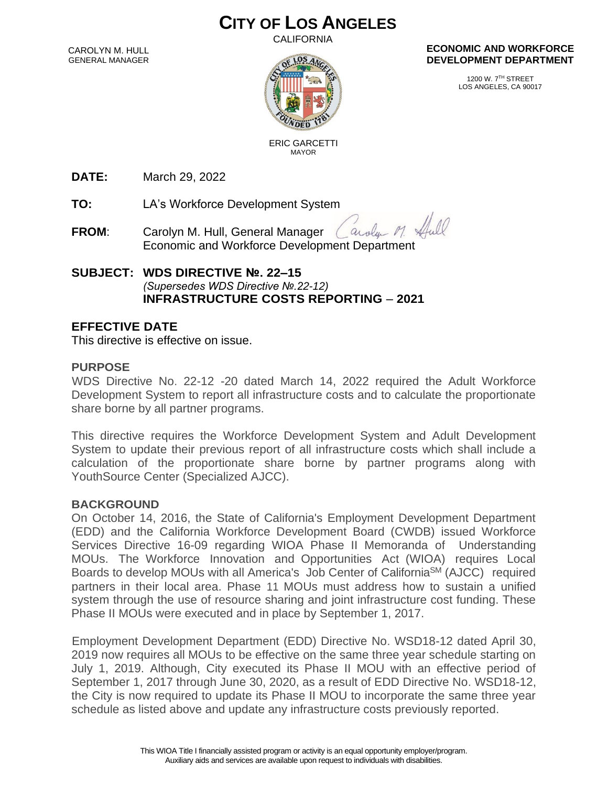# **CITY OF LOS ANGELES**

CALIFORNIA

CAROLYN M. HULL GENERAL MANAGER



#### **ECONOMIC AND WORKFORCE DEVELOPMENT DEPARTMENT**

1200 W. 7TH STREET LOS ANGELES, CA 90017

 ERIC GARCETTI MAYOR

**DATE:** March 29, 2022

**TO:** LA's Workforce Development System

**FROM**: Carolyn M. Hull, General Manager arola Economic and Workforce Development Department

## **SUBJECT: WDS DIRECTIVE №. 22–15** *(Supersedes WDS Directive №.22-12)* **INFRASTRUCTURE COSTS REPORTING** – **2021**

# **EFFECTIVE DATE**

This directive is effective on issue.

### **PURPOSE**

WDS Directive No. 22-12 -20 dated March 14, 2022 required the Adult Workforce Development System to report all infrastructure costs and to calculate the proportionate share borne by all partner programs.

This directive requires the Workforce Development System and Adult Development System to update their previous report of all infrastructure costs which shall include a calculation of the proportionate share borne by partner programs along with YouthSource Center (Specialized AJCC).

#### **BACKGROUND**

On October 14, 2016, the State of California's Employment Development Department (EDD) and the California Workforce Development Board (CWDB) issued Workforce Services Directive 16-09 regarding WIOA Phase II Memoranda of Understanding MOUs. The Workforce Innovation and Opportunities Act (WIOA) requires Local Boards to develop MOUs with all America's Job Center of California<sup>SM</sup> (AJCC) required partners in their local area. Phase 11 MOUs must address how to sustain a unified system through the use of resource sharing and joint infrastructure cost funding. These Phase II MOUs were executed and in place by September 1, 2017.

Employment Development Department (EDD) Directive No. WSD18-12 dated April 30, 2019 now requires all MOUs to be effective on the same three year schedule starting on July 1, 2019. Although, City executed its Phase II MOU with an effective period of September 1, 2017 through June 30, 2020, as a result of EDD Directive No. WSD18-12, the City is now required to update its Phase II MOU to incorporate the same three year schedule as listed above and update any infrastructure costs previously reported.